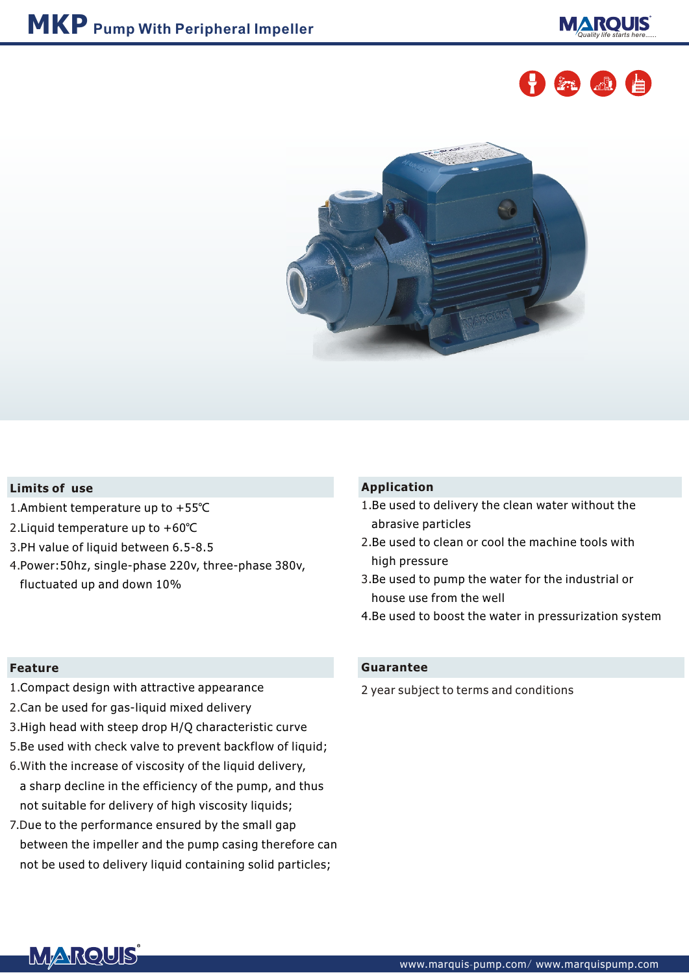





### **Limits of use**

- 1. Ambient temperature up to +55℃
- 2. Liquid temperature up to +60℃
- 3. PH value of liquid between 6.5-8.5
- 4. Power:50hz, single-phase 220v, three-phase 380v, fluctuated up and down 10%

#### **Feature**

- 1. Compact design with attractive appearance
- 2.C an be used for gas-liquid mixed delivery
- 3. High head with steep drop H/Q characteristic curve
- 5. Be used with check valve to prevent backflow of liquid;
- 6.W ith the increase of viscosity of the liquid delivery,
- a sharp decline in the efficiency of the pump, and thus not suitable for delivery of high viscosity liquids;
- 7.D ue to the performance ensured by the small gap between the impeller and the pump casing therefore can not be used to delivery liquid containing solid particles;

## **Application**

- 1. Be used to delivery the clean water without the abrasive particles
- 2. Be used to clean or cool the machine tools with high pressure
- 3. Be used to pump the water for the industrial or house use from the well
- . 4 Be used to boost the water in pressurization system

#### **Guarantee**

2 year subject to terms and conditions

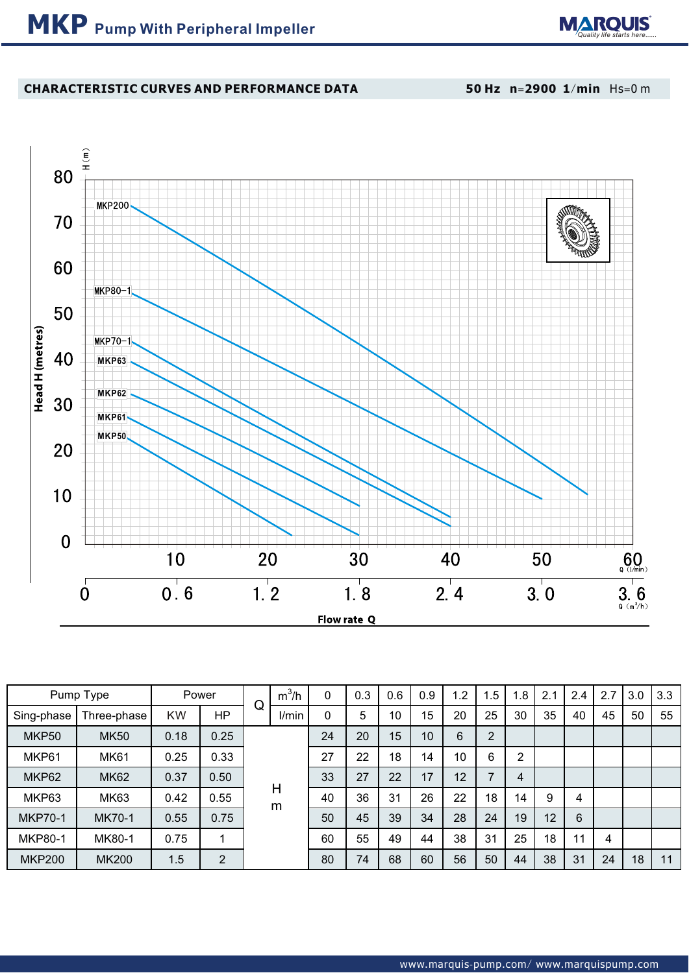

# **CHARACTERISTIC CURVES AND PERFORMANCE DATA**

**50 Hz n**=**2900 1**/**min** Hs=0 m



| Pump Type      |              | Power     |                | Q | $m^3/h$ | 0  | 0.3 | 0.6 | 0.9 | 1.2 | .5 <sub>1</sub>          | .8 | 2.1 | 2.4 | 2.7 | 3.0 | 3.3 |
|----------------|--------------|-----------|----------------|---|---------|----|-----|-----|-----|-----|--------------------------|----|-----|-----|-----|-----|-----|
| Sing-phase     | Three-phase  | <b>KW</b> | <b>HP</b>      |   | I/min   | 0  | 5   | 10  | 15  | 20  | 25                       | 30 | 35  | 40  | 45  | 50  | 55  |
| MKP50          | <b>MK50</b>  | 0.18      | 0.25           |   | H<br>m  | 24 | 20  | 15  | 10  | 6   | $\overline{2}$           |    |     |     |     |     |     |
| MKP61          | <b>MK61</b>  | 0.25      | 0.33           |   |         | 27 | 22  | 18  | 14  | 10  | 6                        | 2  |     |     |     |     |     |
| MKP62          | <b>MK62</b>  | 0.37      | 0.50           |   |         | 33 | 27  | 22  | 17  | 12  | $\overline{\phantom{a}}$ | 4  |     |     |     |     |     |
| MKP63          | MK63         | 0.42      | 0.55           |   |         | 40 | 36  | 31  | 26  | 22  | 18                       | 14 | 9   | 4   |     |     |     |
| <b>MKP70-1</b> | MK70-1       | 0.55      | 0.75           |   |         | 50 | 45  | 39  | 34  | 28  | 24                       | 19 | 12  | 6   |     |     |     |
| <b>MKP80-1</b> | MK80-1       | 0.75      |                |   |         | 60 | 55  | 49  | 44  | 38  | 31                       | 25 | 18  | 11  | 4   |     |     |
| <b>MKP200</b>  | <b>MK200</b> | 1.5       | $\overline{2}$ |   |         | 80 | 74  | 68  | 60  | 56  | 50                       | 44 | 38  | 31  | 24  | 18  | 11  |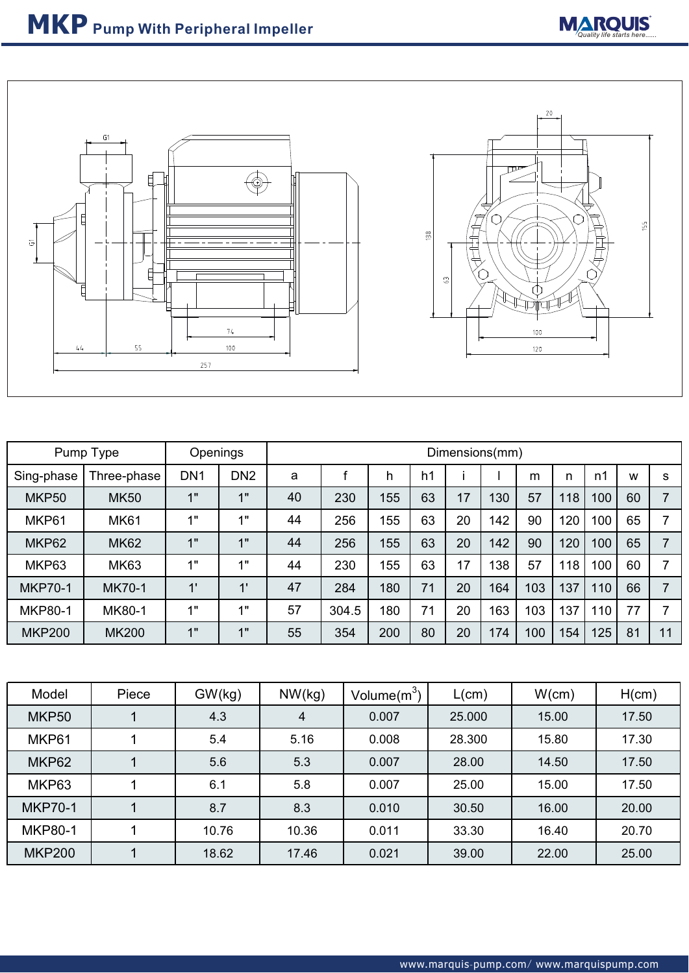



| Pump Type      |               | Openings        |                 | Dimensions(mm) |       |     |    |    |     |     |     |     |    |    |
|----------------|---------------|-----------------|-----------------|----------------|-------|-----|----|----|-----|-----|-----|-----|----|----|
| Sing-phase     | Three-phase   | DN <sub>1</sub> | DN <sub>2</sub> | a              |       | h   | h1 |    |     | m   | n   | n1  | W  | S  |
| MKP50          | <b>MK50</b>   | 1"              | 1"              | 40             | 230   | 155 | 63 | 17 | 130 | 57  | 118 | 100 | 60 |    |
| MKP61          | <b>MK61</b>   | 1"              | 1"              | 44             | 256   | 155 | 63 | 20 | 142 | 90  | 120 | 100 | 65 |    |
| MKP62          | <b>MK62</b>   | 1"              | 1"              | 44             | 256   | 155 | 63 | 20 | 142 | 90  | 120 | 100 | 65 |    |
| MKP63          | <b>MK63</b>   | 1"              | 1"              | 44             | 230   | 155 | 63 | 17 | 138 | 57  | 118 | 100 | 60 |    |
| <b>MKP70-1</b> | <b>MK70-1</b> | 1'              | 1'              | 47             | 284   | 180 | 71 | 20 | 164 | 103 | 137 | 110 | 66 |    |
| <b>MKP80-1</b> | <b>MK80-1</b> | 1"              | 411             | 57             | 304.5 | 180 | 71 | 20 | 163 | 103 | 137 | 110 | 77 |    |
| <b>MKP200</b>  | <b>MK200</b>  | 1"              | 1"              | 55             | 354   | 200 | 80 | 20 | 174 | 100 | 154 | 125 | 81 | 11 |

| Model          | Piece | GW(kg) | NW(kg) | Volume $(m^3)$ | L(cm)  | W(cm) | H(cm) |
|----------------|-------|--------|--------|----------------|--------|-------|-------|
| MKP50          |       | 4.3    | 4      | 0.007          | 25.000 | 15.00 | 17.50 |
| MKP61          |       | 5.4    | 5.16   | 0.008          | 28.300 | 15.80 | 17.30 |
| MKP62          |       | 5.6    | 5.3    | 0.007          | 28.00  | 14.50 | 17.50 |
| MKP63          |       | 6.1    | 5.8    | 0.007          | 25.00  | 15.00 | 17.50 |
| <b>MKP70-1</b> |       | 8.7    | 8.3    | 0.010          | 30.50  | 16.00 | 20.00 |
| <b>MKP80-1</b> |       | 10.76  | 10.36  | 0.011          | 33.30  | 16.40 | 20.70 |
| <b>MKP200</b>  |       | 18.62  | 17.46  | 0.021          | 39.00  | 22.00 | 25.00 |